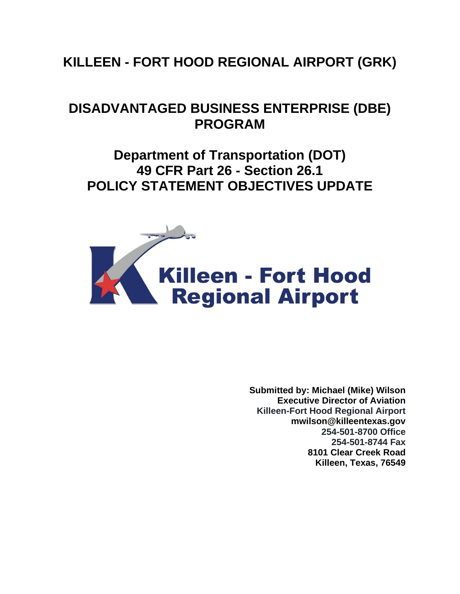# **KILLEEN - FORT HOOD REGIONAL AIRPORT (GRK)**

## **DISADVANTAGED BUSINESS ENTERPRISE (DBE) PROGRAM**

**Department of Transportation (DOT) 49 CFR Part 26 - Section 26.1 POLICY STATEMENT OBJECTIVES UPDATE**



**Submitted by: Michael (Mike) Wilson Executive Director of Aviation Killeen-Fort Hood Regional Airport mwilson@killeentexas.gov 254-501-8700 Office 254-501-8744 Fax 8101 Clear Creek Road Killeen, Texas, 76549**